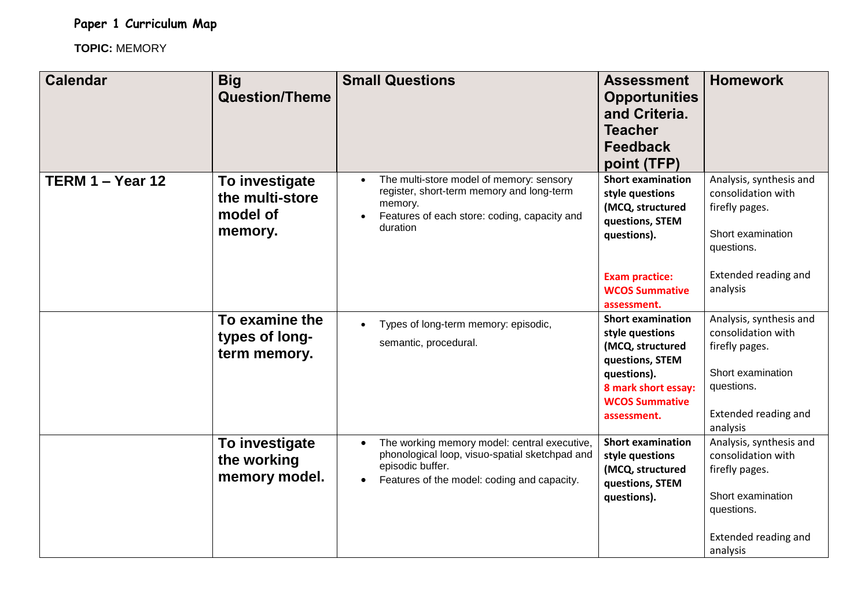**Paper 1 Curriculum Map**

**TOPIC:** MEMORY

| <b>Calendar</b>  | <b>Big</b><br><b>Question/Theme</b>                      | <b>Small Questions</b>                                                                                                                                                         | <b>Assessment</b><br><b>Opportunities</b><br>and Criteria.<br><b>Teacher</b><br><b>Feedback</b><br>point (TFP)                                                   | <b>Homework</b>                                                                                                                        |
|------------------|----------------------------------------------------------|--------------------------------------------------------------------------------------------------------------------------------------------------------------------------------|------------------------------------------------------------------------------------------------------------------------------------------------------------------|----------------------------------------------------------------------------------------------------------------------------------------|
| TERM 1 - Year 12 | To investigate<br>the multi-store<br>model of<br>memory. | The multi-store model of memory: sensory<br>register, short-term memory and long-term<br>memory.<br>Features of each store: coding, capacity and<br>duration                   | <b>Short examination</b><br>style questions<br>(MCQ, structured<br>questions, STEM<br>questions).                                                                | Analysis, synthesis and<br>consolidation with<br>firefly pages.<br>Short examination<br>questions.                                     |
|                  |                                                          |                                                                                                                                                                                | <b>Exam practice:</b><br><b>WCOS Summative</b><br>assessment.                                                                                                    | Extended reading and<br>analysis                                                                                                       |
|                  | To examine the<br>types of long-<br>term memory.         | Types of long-term memory: episodic,<br>semantic, procedural.                                                                                                                  | <b>Short examination</b><br>style questions<br>(MCQ, structured<br>questions, STEM<br>questions).<br>8 mark short essay:<br><b>WCOS Summative</b><br>assessment. | Analysis, synthesis and<br>consolidation with<br>firefly pages.<br>Short examination<br>questions.<br>Extended reading and<br>analysis |
|                  | To investigate<br>the working<br>memory model.           | The working memory model: central executive,<br>phonological loop, visuo-spatial sketchpad and<br>episodic buffer.<br>Features of the model: coding and capacity.<br>$\bullet$ | <b>Short examination</b><br>style questions<br>(MCQ, structured<br>questions, STEM<br>questions).                                                                | Analysis, synthesis and<br>consolidation with<br>firefly pages.<br>Short examination<br>questions.<br>Extended reading and<br>analysis |